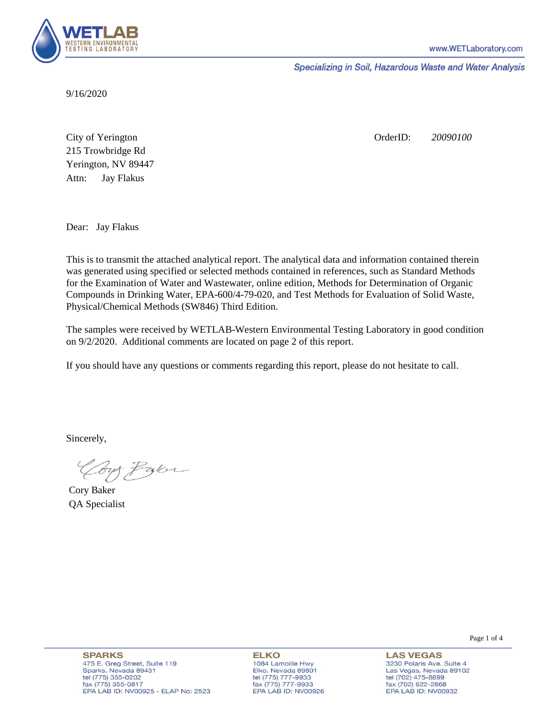

Specializing in Soil, Hazardous Waste and Water Analysis

9/16/2020

Attn: City of Yerington 215 Trowbridge Rd Jay Flakus Yerington, NV 89447 OrderID: *20090100*

Dear: Jay Flakus

This is to transmit the attached analytical report. The analytical data and information contained therein was generated using specified or selected methods contained in references, such as Standard Methods for the Examination of Water and Wastewater, online edition, Methods for Determination of Organic Compounds in Drinking Water, EPA-600/4-79-020, and Test Methods for Evaluation of Solid Waste, Physical/Chemical Methods (SW846) Third Edition.

The samples were received by WETLAB-Western Environmental Testing Laboratory in good condition on 9/2/2020. Additional comments are located on page 2 of this report.

If you should have any questions or comments regarding this report, please do not hesitate to call.

Sincerely,

Coy Palor

Cory Baker QA Specialist

**ELKO** 1084 Lamoille Hwy Elko, Nevada 89801 tel (775) 777-9933<br>fax (775) 777-9933 EPA LAB ID: NV00926

**LAS VEGAS** 3230 Polaris Ave. Suite 4 Las Vegas, Nevada 89102 tel (702) 475-8899 fax (702) 622-2868 EPA LAB ID: NV00932

Page 1 of 4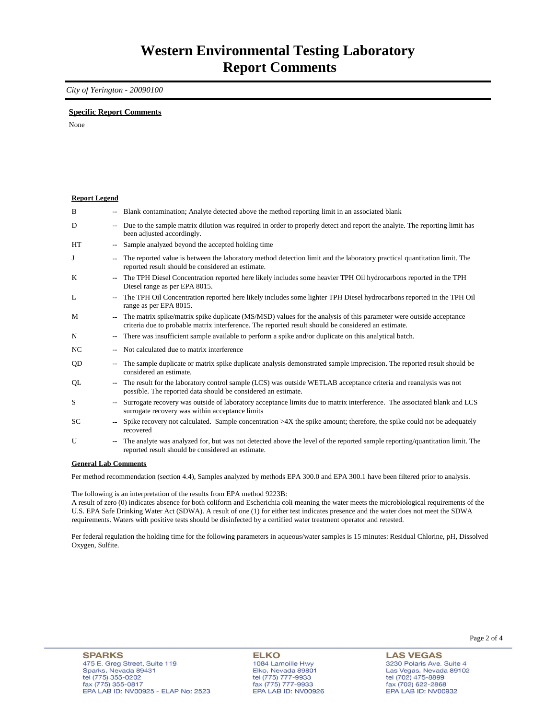### *City of Yerington - 20090100*

### **Specific Report Comments**

None

| <b>Report Legend</b> |                          |                                                                                                                                                                                                                           |
|----------------------|--------------------------|---------------------------------------------------------------------------------------------------------------------------------------------------------------------------------------------------------------------------|
| B                    |                          | -- Blank contamination; Analyte detected above the method reporting limit in an associated blank                                                                                                                          |
| D                    | $- -$                    | Due to the sample matrix dilution was required in order to properly detect and report the analyte. The reporting limit has<br>been adjusted accordingly.                                                                  |
| HT                   |                          | Sample analyzed beyond the accepted holding time                                                                                                                                                                          |
| J                    |                          | The reported value is between the laboratory method detection limit and the laboratory practical quantitation limit. The<br>reported result should be considered an estimate.                                             |
| K                    | $\overline{\phantom{a}}$ | The TPH Diesel Concentration reported here likely includes some heavier TPH Oil hydrocarbons reported in the TPH<br>Diesel range as per EPA 8015.                                                                         |
| L                    |                          | The TPH Oil Concentration reported here likely includes some lighter TPH Diesel hydrocarbons reported in the TPH Oil<br>range as per EPA 8015.                                                                            |
| M                    |                          | The matrix spike/matrix spike duplicate (MS/MSD) values for the analysis of this parameter were outside acceptance<br>criteria due to probable matrix interference. The reported result should be considered an estimate. |
| N                    | $\overline{\phantom{a}}$ | There was insufficient sample available to perform a spike and/or duplicate on this analytical batch.                                                                                                                     |
| NC                   |                          | Not calculated due to matrix interference                                                                                                                                                                                 |
| QD                   | $\overline{\phantom{a}}$ | The sample duplicate or matrix spike duplicate analysis demonstrated sample imprecision. The reported result should be<br>considered an estimate.                                                                         |
| QL                   |                          | The result for the laboratory control sample (LCS) was outside WETLAB acceptance criteria and reanalysis was not<br>possible. The reported data should be considered an estimate.                                         |
| S                    |                          | Surrogate recovery was outside of laboratory acceptance limits due to matrix interference. The associated blank and LCS<br>surrogate recovery was within acceptance limits                                                |
| SC                   |                          | Spike recovery not calculated. Sample concentration $>4X$ the spike amount; therefore, the spike could not be adequately<br>recovered                                                                                     |
| U                    |                          | The analyte was analyzed for, but was not detected above the level of the reported sample reporting/quantitation limit. The<br>reported result should be considered an estimate.                                          |
| $\sim$               |                          | $\mathbf{1}$ $\mathbf{1}$ $\alpha$                                                                                                                                                                                        |

#### **General Lab Comments**

Per method recommendation (section 4.4), Samples analyzed by methods EPA 300.0 and EPA 300.1 have been filtered prior to analysis.

The following is an interpretation of the results from EPA method 9223B:

A result of zero (0) indicates absence for both coliform and Escherichia coli meaning the water meets the microbiological requirements of the U.S. EPA Safe Drinking Water Act (SDWA). A result of one (1) for either test indicates presence and the water does not meet the SDWA requirements. Waters with positive tests should be disinfected by a certified water treatment operator and retested.

Per federal regulation the holding time for the following parameters in aqueous/water samples is 15 minutes: Residual Chlorine, pH, Dissolved Oxygen, Sulfite.

**ELKO** 1084 Lamoille Hwy Elko, Nevada 89801 tel (775) 777-9933<br>fax (775) 777-9933 EPA LAB ID: NV00926

**LAS VEGAS** 3230 Polaris Ave. Suite 4 Las Vegas, Nevada 89102 tel (702) 475-8899<br>fax (702) 622-2868 EPA LAB ID: NV00932

Page 2 of 4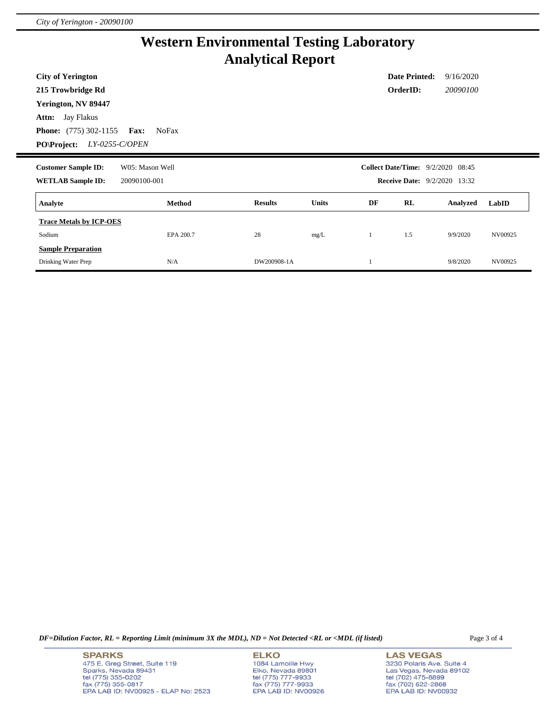# **Western Environmental Testing Laboratory Analytical Report**

| <b>City of Yerington</b><br>215 Trowbridge Rd<br>Yerington, NV 89447<br>Jay Flakus<br>Attn:<br><b>Phone:</b> $(775)$ 302-1155 | <b>Fax:</b><br><b>NoFax</b>     |                |              |    | <b>Date Printed:</b><br>OrderID:                                                | 9/16/2020<br>20090100 |         |
|-------------------------------------------------------------------------------------------------------------------------------|---------------------------------|----------------|--------------|----|---------------------------------------------------------------------------------|-----------------------|---------|
| LY-0255-C/OPEN<br><b>PO\Project:</b><br><b>Customer Sample ID:</b><br><b>WETLAB Sample ID:</b>                                | W05: Mason Well<br>20090100-001 |                |              |    | <b>Collect Date/Time:</b> 9/2/2020 08:45<br><b>Receive Date:</b> 9/2/2020 13:32 |                       |         |
| Analyte                                                                                                                       | Method                          | <b>Results</b> | <b>Units</b> | DF | RL                                                                              | Analyzed              | LabID   |
| <b>Trace Metals by ICP-OES</b><br>Sodium<br><b>Sample Preparation</b>                                                         | EPA 200.7                       | 28             | mg/L         |    | 1.5                                                                             | 9/9/2020              | NV00925 |
| Drinking Water Prep                                                                                                           | N/A                             | DW200908-1A    |              |    |                                                                                 | 9/8/2020              | NV00925 |

*DF=Dilution Factor, RL = Reporting Limit (minimum 3X the MDL), ND = Not Detected <RL or <MDL (if listed)* Page 3 of 4

**SPARKS** 475 E. Greg Street, Suite 119 Sparks, Nevada 89431<br>tel (775) 355-0202<br>fax (775) 355-0817 EPA LAB ID: NV00925 - ELAP No: 2523 **ELKO** 1084 Lamoille Hwy Elko, Nevada 89801<br>tel (775) 777-9933<br>fax (775) 777-9933 EPA LAB ID: NV00926

**LAS VEGAS** 3230 Polaris Ave. Suite 4 Las Vegas, Nevada 89102<br>tel (702) 475-8899<br>fax (702) 622-2868<br>EPA LAB ID: NV00932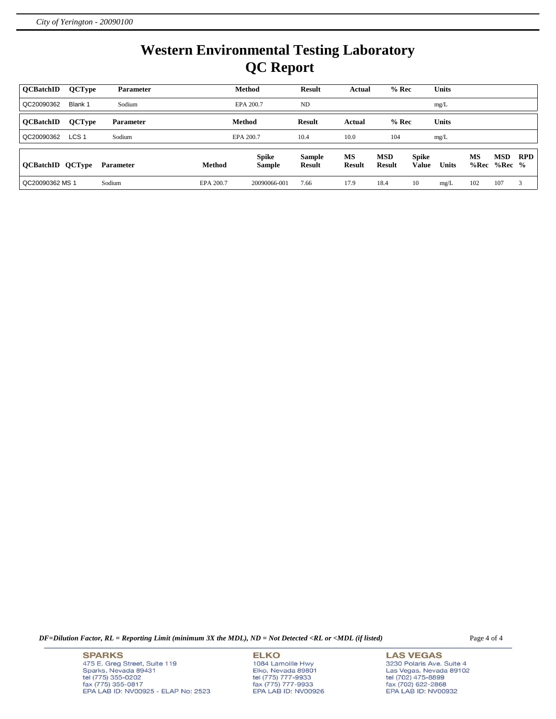# **Western Environmental Testing Laboratory QC Report**

| <b>OCBatchID</b>        | <b>QCType</b>    | <b>Parameter</b> |               | <b>Method</b>                 | <b>Result</b>                  | Actual              | $%$ Rec                     |                              | <b>Units</b> |            |                        |            |
|-------------------------|------------------|------------------|---------------|-------------------------------|--------------------------------|---------------------|-----------------------------|------------------------------|--------------|------------|------------------------|------------|
| QC20090362              | Blank 1          | Sodium           |               | EPA 200.7                     | ND                             |                     |                             |                              | mg/L         |            |                        |            |
| <b>OCBatchID</b>        | <b>QCType</b>    | <b>Parameter</b> |               | Method                        | Result                         | Actual              | $%$ Rec                     |                              | <b>Units</b> |            |                        |            |
| QC20090362              | LCS <sub>1</sub> | Sodium           |               | EPA 200.7                     | 10.4                           | 10.0                | 104                         |                              | mg/L         |            |                        |            |
| <b>QCBatchID QCType</b> |                  | Parameter        | <b>Method</b> | <b>Spike</b><br><b>Sample</b> | <b>Sample</b><br><b>Result</b> | MS<br><b>Result</b> | <b>MSD</b><br><b>Result</b> | <b>Spike</b><br><b>Value</b> | <b>Units</b> | MS<br>%Rec | <b>MSD</b><br>$%Rec$ % | <b>RPD</b> |
| QC20090362 MS 1         |                  | Sodium           | EPA 200.7     | 20090066-001                  | 7.66                           | 17.9                | 18.4                        | 10                           | mg/L         | 102        | 107                    | 3          |

*DF=Dilution Factor, RL = Reporting Limit (minimum 3X the MDL), ND = Not Detected <RL or <MDL (if listed)* Page 4 of 4

**SPARKS** 475 E. Greg Street, Suite 119 Sparks, Nevada 89431<br>tel (775) 355-0202<br>fax (775) 355-0817 EPA LAB ID: NV00925 - ELAP No: 2523 **ELKO** 1084 Lamoille Hwy Elko, Nevada 89801<br>tel (775) 777-9933<br>fax (775) 777-9933 EPA LAB ID: NV00926

**LAS VEGAS** 3230 Polaris Ave. Suite 4 Las Vegas, Nevada 89102<br>tel (702) 475-8899<br>fax (702) 622-2868<br>EPA LAB ID: NV00932